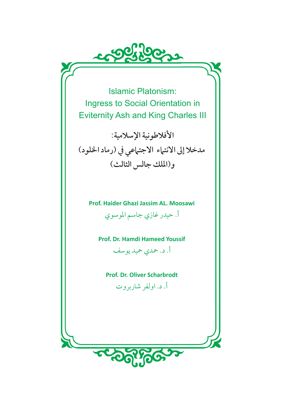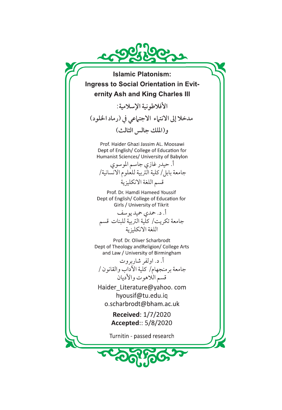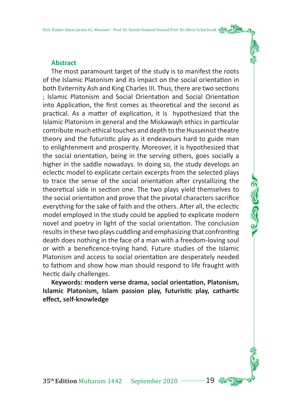### **Abstract**

The most paramount target of the study is to manifest the roots of the Islamic Platonism and its impact on the social orientation in both Eviternity Ash and King Charles III. Thus, there are two sections ; Islamic Platonism and Social Orientation and Social Orientation into Application, the first comes as theoretical and the second as practical. As a matter of explication, it is hypothesized that the Islamic Platonism in general and the Miskawayh ethics in particular contribute much ethical touches and depth to the Husseinist theatre theory and the futuristic play as it endeavours hard to guide man to enlightenment and prosperity. Moreover, it is hypothesized that the social orientation, being in the serving others, goes socially a higher in the saddle nowadays. In doing so, the study develops an eclectic model to explicate certain excerpts from the selected plays to trace the sense of the social orientation after crystallizing the theoretical side in section one. The two plays yield themselves to the social orientation and prove that the pivotal characters sacrifice everything for the sake of faith and the others. After all, the eclectic model employed in the study could be applied to explicate modern novel and poetry in light of the social orientation. The conclusion results in these two plays cuddling and emphasizing that confronting death does nothing in the face of a man with a freedom-loving soul or with a beneficence-trying hand. Future studies of the Islamic Platonism and access to social orientation are desperately needed to fathom and show how man should respond to life fraught with hectic daily challenges.

Keywords: modern verse drama, social orientation, Platonism, **Islamic Platonism, Islam passion play, futuris�c play, cathar�c effect, self-knowledge**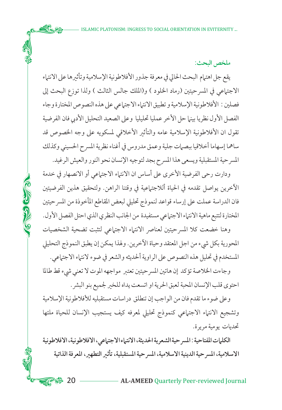**ملخص البحث:**

يقع جل اهتمام البحث الحالي في معرفة جذور الأفلاطونية الإسلامية وتأثيرها على الانتماء الاجتماعي في المسرحيتين (رماد الخلود ) و(الملك جالس الثالث ) ولذا توزع البحث إلى فصلين : الأفلاطونية الإسلامية و تطبيق الانتماء الاجتماعي على هذه النصوص المختارة وجاء الفصل الأول نظريا بينما حل الأخر عمليا تحليليا وعلى الصعيد التحليل الأدبي فان الفرضية تقول ان الأفلاطونية الإسلامية عامه والتأثير الأخلاقي لمسكويه على وجه الخصوص قد ساهما إسهاما أخلاقيا ببصمات جلية وعمق مدروس في أغناء نظرية المسرح الحسيني وكذلك المسرحية المستقبلية ويسعى هذا المسرح بجد لتوجيه الإنسان نحو النور والعيش الرغيد.

ودارت رحى الفرضية الأخر على أساس ان الانتماء الاجتماعي أو الانصهار في خدمة الآخرين يواصل تقدمه في الحياة أللاجتماعية في وقتنا الراهن. ولتحقيق هذين الفرضيتين فان الدراسة عملت على إرساء قواعد لنموذج تحليلي لبعض المقاطع المأخوذة من المسرحيتين المختارة لتتبع ماهية الانتماء الاجتماعي مستفيدة من الجانب النظري الذي احتل الفصل الأول.

CONG CONG

وهنا خضعت كلا المسرحيتين لعناصر الانتماء الاجتماعي لتثبت تضحية الشخصيات المحورية بكل شيء من اجل المعتقد وحياة الآخرين. ولهذا يمكن إن يطبق النموذج التحليلي المستخدم في تحليل هذه النصوص على الراوية ألحديثه والشعر في ضوء لانتماء الاجتماعي.

وجاءت الخلاصة تؤكد إن هاتين المسرحيتين تعتبر مواجهه الموت لا تعني شيء قط طالما احتو قلب الإنسان المحبة لعبق الحرية او اتسعت يداه للخير لجميع بنو البشر.

وعلى ضوء ما تقدم فان من الواجب إن تنطلق دراسات مستقبليه للأفلاطونية الإسلامية وتشجيع الانتماء الاجتماعي كنموذج تحليلي لمعرفه كيف يستجيب الإنسان للحياة ملئها تحديات يومية مريرة.

**الكلمات المفتاحية : المسرحية الشعرية الحديثة، الانتماء الاجتماعي، الافلاطونية، الافلاطونية الاسلامية، المسرحية الدينية الاسلامية، المسرحية المستقبلية، تأثير التطهير، المعرفة الذاتية** 

**ACS:** 20 — AL-AMEED Quarterly Peer-reviewed Journal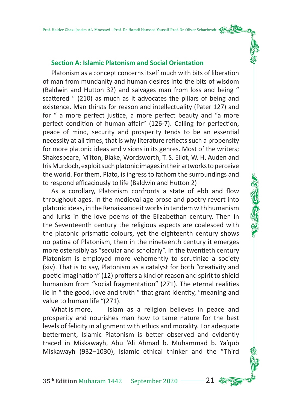### **Section A: Islamic Platonism and Social Orientation**

Platonism as a concept concerns itself much with bits of liberation of man from mundanity and human desires into the bits of wisdom (Baldwin and Hutton 32) and salvages man from loss and being " scattered " (210) as much as it advocates the pillars of being and existence. Man thirsts for reason and intellectuality (Pater 127) and for " a more perfect justice, a more perfect beauty and "a more perfect condition of human affair" (126-7). Calling for perfection, peace of mind, security and prosperity tends to be an essential necessity at all times, that is why literature reflects such a propensity for more platonic ideas and visions in its genres. Most of the writers; Shakespeare, Milton, Blake, Wordsworth, T. S. Eliot, W. H. Auden and Iris Murdoch, exploit such platonic images in their artworks to perceive the world. For them, Plato, is ingress to fathom the surroundings and to respond efficaciously to life (Baldwin and Hutton 2)

As a corollary, Platonism confronts a state of ebb and flow throughout ages. In the medieval age prose and poetry revert into platonic ideas, in the Renaissance it works in tandem with humanism and lurks in the love poems of the Elizabethan century. Then in the Seventeenth century the religious aspects are coalesced with the platonic prismatic colours, yet the eighteenth century shows no patina of Platonism, then in the nineteenth century it emerges more ostensibly as "secular and scholarly". In the twentieth century Platonism is employed more vehemently to scrutinize a society (xiv). That is to say, Platonism as a catalyst for both "creativity and poetic imagination" (12) proffers a kind of reason and spirit to shield humanism from "social fragmentation" (271). The eternal realities lie in " the good, love and truth " that grant identity, "meaning and value to human life "(271).

What is more, Islam as a religion believes in peace and prosperity and nourishes man how to tame nature for the best levels of felicity in alignment with ethics and morality. For adequate betterment, Islamic Platonism is better observed and evidently traced in Miskawayh, Abu 'Ali Ahmad b. Muhammad b. Ya'qub Miskawayh (932–1030), Islamic ethical thinker and the "Third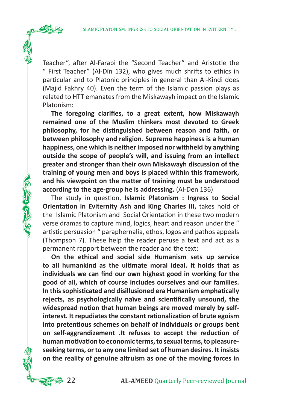Teacher", after Al-Farabi the "Second Teacher" and Aristotle the " First Teacher" (Al-Dīn 132), who gives much shri�s to ethics in particular and to Platonic principles in general than Al-Kindi does (Majid Fakhry 40). Even the term of the Islamic passion plays as related to HTT emanates from the Miskawayh impact on the Islamic Platonism:

**The foregoing clarifies, to a great extent, how Miskawayh remained one of the Muslim thinkers most devoted to Greek**  philosophy, for he distinguished between reason and faith, or **between philosophy and religion. Supreme happiness is a human happiness, one which is neither imposed nor withheld by anything outside the scope of people's will, and issuing from an intellect greater and stronger than their own Miskawayh discussion of the training of young men and boys is placed within this framework,**  and his viewpoint on the matter of training must be understood **according to the age-group he is addressing.** (Al-Den 136)

The study in question, **Islamic Platonism : Ingress to Social Orientation in Eviternity Ash and King Charles III, takes hold of** the Islamic Platonism and Social Orientation in these two modern verse dramas to capture mind, logics, heart and reason under the " artistic persuasion " paraphernalia, ethos, logos and pathos appeals (Thompson 7). These help the reader peruse a text and act as a permanent rapport between the reader and the text:

ふくさ さい

**On the ethical and social side Humanism sets up service to all humankind as the ul�mate moral ideal. It holds that as individuals we can find our own highest good in working for the good of all, which of course includes ourselves and our families.**  In this sophisticated and disillusioned era Humanism emphatically **rejects, as psychologically naïve and scien�fically unsound, the**  widespread notion that human beings are moved merely by self**interest. It repudiates the constant rationalization of brute egoism into pretentious schemes on behalf of individuals or groups bent on self-aggrandizement** . It refuses to accept the reduction of human motivation to economic terms, to sexual terms, to pleasure**seeking terms, or to any one limited set of human desires. It insists on the reality of genuine altruism as one of the moving forces in**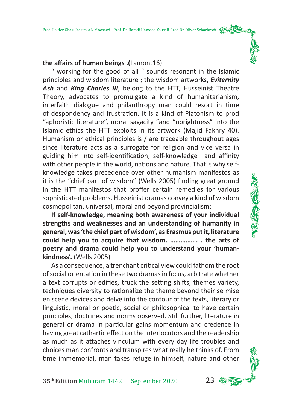## **the affairs of human beings .(**Lamont16)

" working for the good of all " sounds resonant in the Islamic principles and wisdom literature ; the wisdom artworks, *Eviternity Ash* and *King Charles III*, belong to the HTT, Husseinist Theatre Theory, advocates to promulgate a kind of humanitarianism, interfaith dialogue and philanthropy man could resort in time of despondency and frustration. It is a kind of Platonism to prod "aphoristic literature", moral sagacity "and "uprightness" into the Islamic ethics the HTT exploits in its artwork (Majid Fakhry 40). Humanism or ethical principles is / are traceable throughout ages since literature acts as a surrogate for religion and vice versa in guiding him into self-identification, self-knowledge and affinity with other people in the world, nations and nature. That is why selfknowledge takes precedence over other humanism manifestos as it is the "chief part of wisdom" (Wells 2005) finding great ground in the HTT manifestos that proffer certain remedies for various sophisticated problems. Husseinist dramas convey a kind of wisdom cosmopolitan, universal, moral and beyond provincialism:

**If self-knowledge, meaning both awareness of your individual strengths and weaknesses and an understanding of humanity in general, was 'the chief part of wisdom', as Erasmus put it, literature could help you to acquire that wisdom. ……………. . the arts of poetry and drama could help you to understand your 'humankindness'.** (Wells 2005)

As a consequence, a trenchant critical view could fathom the root of social orientation in these two dramas in focus, arbitrate whether a text corrupts or edifies, truck the setting shifts, themes variety, techniques diversity to rationalize the theme beyond their se mise en scene devices and delve into the contour of the texts, literary or linguistic, moral or poetic, social or philosophical to have certain principles, doctrines and norms observed. Still further, literature in general or drama in particular gains momentum and credence in having great cathartic effect on the interlocutors and the readership as much as it attaches vinculum with every day life troubles and choices man confronts and transpires what really he thinks of. From time immemorial, man takes refuge in himself, nature and other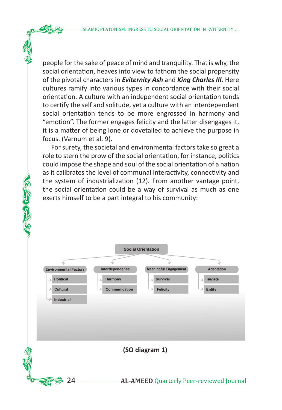people for the sake of peace of mind and tranquility. That is why, the social orientation, heaves into view to fathom the social propensity of the pivotal characters in *Eviternity Ash* and *King Charles III*. Here cultures ramify into various types in concordance with their social orientation. A culture with an independent social orientation tends to certify the self and solitude, yet a culture with an interdependent social orientation tends to be more engrossed in harmony and "emotion". The former engages felicity and the latter disengages it, it is a matter of being lone or dovetailed to achieve the purpose in focus. (Varnum et al. 9).

For surety, the societal and environmental factors take so great a role to stern the prow of the social orientation, for instance, politics could impose the shape and soul of the social orientation of a nation as it calibrates the level of communal interactivity, connectivity and the system of industrialization (12). From another vantage point, the social orientation could be a way of survival as much as one exerts himself to be a part integral to his community:

**COLLEGE** 

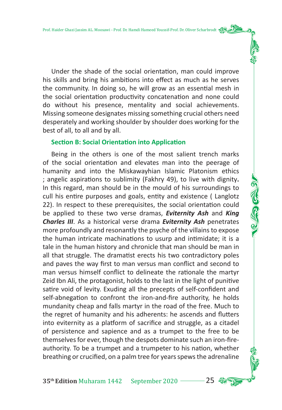Under the shade of the social orientation, man could improve his skills and bring his ambitions into effect as much as he serves the community. In doing so, he will grow as an essential mesh in the social orientation productivity concatenation and none could do without his presence, mentality and social achievements. Missing someone designates missing something crucial others need desperately and working shoulder by shoulder does working for the best of all, to all and by all.

#### **Section B: Social Orientation into Application**

Being in the others is one of the most salient trench marks of the social orientation and elevates man into the peerage of humanity and into the Miskawayhian Islamic Platonism ethics ; angelic aspirations to sublimity (Fakhry 49), to live with dignity**.**  In this regard, man should be in the mould of his surroundings to cull his entire purposes and goals, entity and existence ( Langlotz 22). In respect to these prerequisites, the social orientation could be applied to these two verse dramas, *Eviternity Ash* and *King Charles III*. As a historical verse drama *Eviternity Ash* penetrates more profoundly and resonantly the psyche of the villains to expose the human intricate machinations to usurp and intimidate; it is a tale in the human history and chronicle that man should be man in all that struggle. The dramatist erects his two contradictory poles and paves the way first to man versus man conflict and second to man versus himself conflict to delineate the rationale the martyr Zeid Ibn Ali, the protagonist, holds to the last in the light of punitive satire void of levity. Exuding all the precepts of self-confident and self-abnegation to confront the iron-and-fire authority, he holds mundanity cheap and falls martyr in the road of the free. Much to the regret of humanity and his adherents: he ascends and flutters into eviternity as a platform of sacrifice and struggle, as a citadel of persistence and sapience and as a trumpet to the free to be themselves for ever, though the despots dominate such an iron-fireauthority. To be a trumpet and a trumpeter to his nation, whether breathing or crucified, on a palm tree for years spews the adrenaline

35<sup>th</sup> Edition Muharam 1442 September 2020 <sup>25</sup>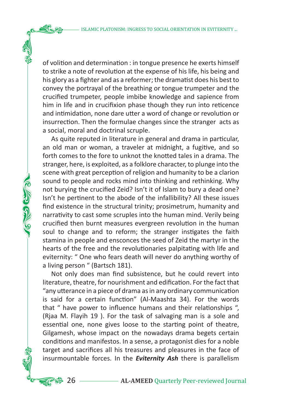of volition and determination : in tongue presence he exerts himself to strike a note of revolution at the expense of his life, his being and his glory as a fighter and as a reformer; the dramatist does his best to convey the portrayal of the breathing or tongue trumpeter and the crucified trumpeter, people imbibe knowledge and sapience from him in life and in crucifixion phase though they run into reticence and intimidation, none dare utter a word of change or revolution or insurrection. Then the formulae changes since the stranger acts as a social, moral and doctrinal scruple.

As quite reputed in literature in general and drama in particular, an old man or woman, a traveler at midnight, a fugitive, and so forth comes to the fore to unknot the knotted tales in a drama. The stranger, here, is exploited, as a folklore character, to plunge into the scene with great perception of religion and humanity to be a clarion sound to people and rocks mind into thinking and rethinking. Why not burying the crucified Zeid? Isn't it of Islam to bury a dead one? Isn't he pertinent to the abode of the infallibility? All these issues find existence in the structural trinity; prosimetrum, humanity and narrativity to cast some scruples into the human mind. Verily being crucified then burnt measures evergreen revolution in the human soul to change and to reform; the stranger instigates the faith stamina in people and ensconces the seed of Zeid the martyr in the hearts of the free and the revolutionaries palpitating with life and eviternity: " One who fears death will never do anything worthy of a living person " (Bartsch 181).

ふきじ じょう

Not only does man find subsistence, but he could revert into literature, theatre, for nourishment and edification. For the fact that "any u�erance in a piece of drama as in any ordinary communication is said for a certain function" (Al-Maashta 34). For the words that " have power to influence humans and their relationships ", (Rjaa M. Flayih 19 ). For the task of salvaging man is a sole and essential one, none gives loose to the starting point of theatre, Gilgamesh, whose impact on the nowadays drama begets certain conditions and manifestos. In a sense, a protagonist dies for a noble target and sacrifices all his treasures and pleasures in the face of insurmountable forces. In the *Eviternity Ash* there is parallelism

**33.** 26 **AL-AMEED** Quarterly Peer-reviewed Journal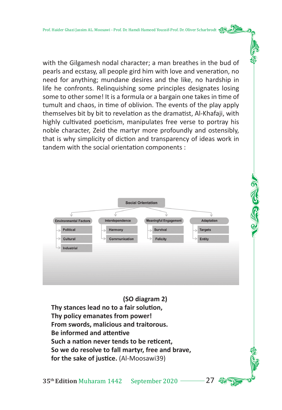with the Gilgamesh nodal character; a man breathes in the bud of pearls and ecstasy, all people gird him with love and veneration, no need for anything; mundane desires and the like, no hardship in life he confronts. Relinquishing some principles designates losing some to other some! It is a formula or a bargain one takes in time of tumult and chaos, in time of oblivion. The events of the play apply themselves bit by bit to revelation as the dramatist, Al-Khafaji, with highly cultivated poeticism, manipulates free verse to portray his noble character, Zeid the martyr more profoundly and ostensibly, that is why simplicity of diction and transparency of ideas work in tandem with the social orientation components :

|                                   | <b>Social Orientation</b> |                                   |                                 |
|-----------------------------------|---------------------------|-----------------------------------|---------------------------------|
| ν<br><b>Environmental Factors</b> | Interdependence           | Ŵ<br><b>Meaningful Engagement</b> | <b>Adaptation</b>               |
| <b>Political</b><br>$\rightarrow$ | Harmony                   | Survival<br>$\sim$                | <b>Targets</b><br>$\rightarrow$ |
| $\rightarrow$<br>Cultural         | Communication             | Felicity                          | <b>Entity</b>                   |
| <b>Industrial</b>                 |                           |                                   |                                 |
|                                   |                           |                                   |                                 |
|                                   |                           |                                   |                                 |
|                                   |                           |                                   |                                 |

**(SO diagram 2)** Thy stances lead no to a fair solution. **Thy policy emanates from power! From swords, malicious and traitorous. Be informed and attentive** Such a nation never tends to be reticent. **So we do resolve to fall martyr, free and brave,**  for the sake of justice. (Al-Moosawi39)

35<sup>th</sup> Edition Muharam 1442 September 2020 <sup>27</sup>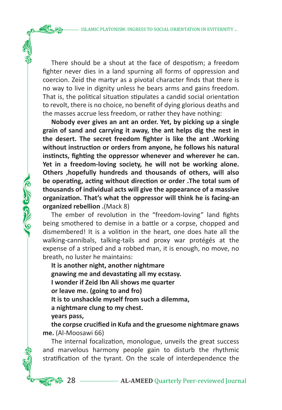There should be a shout at the face of despotism; a freedom fighter never dies in a land spurning all forms of oppression and coercion. Zeid the martyr as a pivotal character finds that there is no way to live in dignity unless he bears arms and gains freedom. That is, the political situation stipulates a candid social orientation to revolt, there is no choice, no benefit of dying glorious deaths and the masses accrue less freedom, or rather they have nothing:

**Nobody ever gives an ant an order. Yet, by picking up a single grain of sand and carrying it away, the ant helps dig the nest in the desert. The secret freedom fighter is like the ant .Working**  without instruction or orders from anyone, he follows his natural  $i$ nstincts, fighting the oppressor whenever and wherever he can. **Yet in a freedom-loving society, he will not be working alone. Others ,hopefully hundreds and thousands of others, will also**  be operating, acting without direction or order . The total sum of **thousands of individual acts will give the appearance of a massive organiza�on. That's what the oppressor will think he is facing-an organized rebellion .**(Mack 8)

The ember of revolution in the "freedom-loving" land fights being smothered to demise in a battle or a corpse, chopped and dismembered! It is a volition in the heart, one does hate all the walking-cannibals, talking-tails and proxy war protégés at the expense of a striped and a robbed man, it is enough, no move, no breath, no luster he maintains:

**It is another night, another nightmare** gnawing me and devastating all my ecstasy. **I wonder if Zeid Ibn Ali shows me quarter or leave me. (going to and fro) It is to unshackle myself from such a dilemma, a nightmare clung to my chest. years pass,** 

**COLORED** 

**the corpse crucified in Kufa and the gruesome nightmare gnaws me.** (Al-Moosawi 66)

The internal focalization, monologue, unveils the great success and marvelous harmony people gain to disturb the rhythmic stratification of the tyrant. On the scale of interdependence the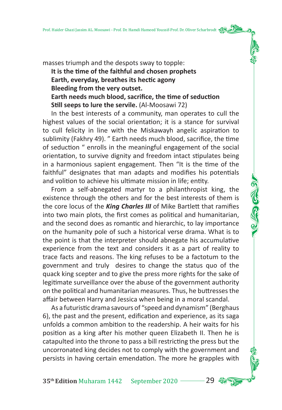masses triumph and the despots sway to topple: It is the time of the faithful and chosen prophets Earth, everyday, breathes its hectic agony **Bleeding from the very outset.**  Earth needs much blood, sacrifice, the time of seduction **Still seeps to lure the servile.** (Al-Moosawi 72)

In the best interests of a community, man operates to cull the highest values of the social orientation; it is a stance for survival to cull felicity in line with the Miskawayh angelic aspiration to sublimity (Fakhry 49). " Earth needs much blood, sacrifice, the time of seduction " enrolls in the meaningful engagement of the social orientation, to survive dignity and freedom intact stipulates being in a harmonious sapient engagement. Then "It is the time of the faithful" designates that man adapts and modifies his potentials and volition to achieve his ultimate mission in life; entity.

From a self-abnegated martyr to a philanthropist king, the existence through the others and for the best interests of them is the core locus of the *King Charles III* of Mike Bartlett that ramifies into two main plots, the first comes as political and humanitarian, and the second does as romantic and hierarchic, to lay importance on the humanity pole of such a historical verse drama. What is to the point is that the interpreter should abnegate his accumulative experience from the text and considers it as a part of reality to trace facts and reasons. The king refuses to be a factotum to the government and truly desires to change the status quo of the quack king scepter and to give the press more rights for the sake of legitimate surveillance over the abuse of the government authority on the political and humanitarian measures. Thus, he buttresses the affair between Harry and Jessica when being in a moral scandal.

As a futuristic drama savours of "speed and dynamism" (Berghaus 6), the past and the present, edification and experience, as its saga unfolds a common ambition to the readership. A heir waits for his position as a king after his mother queen Elizabeth II. Then he is catapulted into the throne to pass a bill restricting the press but the uncorronated king decides not to comply with the government and persists in having certain emendation. The more he grapples with

**35<sup>th</sup> Edition** Muharam 1442 September 2020 <sup>29</sup>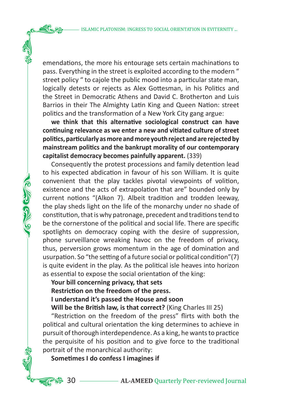emendations, the more his entourage sets certain machinations to pass. Everything in the street is exploited according to the modern " street policy " to cajole the public mood into a particular state man, logically detests or rejects as Alex Gottesman, in his Politics and the Street in Democratic Athens and David C. Brotherton and Luis Barrios in their The Almighty Latin King and Queen Nation: street politics and the transformation of a New York City gang argue:

we think that this alternative sociological construct can have continuing relevance as we enter a new and vitiated culture of street **poli�cs, par�cularly as more and more youth reject and are rejected by mainstream poli�cs and the bankrupt morality of our contemporary capitalist democracy becomes painfully apparent.** (339)

Consequently the protest processions and family detention lead to his expected abdication in favour of his son William. It is quite convenient that the play tackles pivotal viewpoints of volition, existence and the acts of extrapolation that are" bounded only by current notions "(Alkon 7). Albeit tradition and trodden leeway, the play sheds light on the life of the monarchy under no shade of constitution, that is why patronage, precedent and traditions tend to be the cornerstone of the political and social life. There are specific spotlights on democracy coping with the desire of suppression, phone surveillance wreaking havoc on the freedom of privacy, thus, perversion grows momentum in the age of domination and usurpation. So "the setting of a future social or political condition" $(7)$ is quite evident in the play. As the political isle heaves into horizon as essential to expose the social orientation of the king:

**Your bill concerning privacy, that sets Restriction on the freedom of the press. I understand it's passed the House and soon Will be the British law, is that correct?** (King Charles III 25)

"Restriction on the freedom of the press" flirts with both the political and cultural orientation the king determines to achieve in pursuit of thorough interdependence. As a king, he wants to practice the perquisite of his position and to give force to the traditional portrait of the monarchical authority:

**Sometimes I do confess I imagines if** 

ふくさ さいか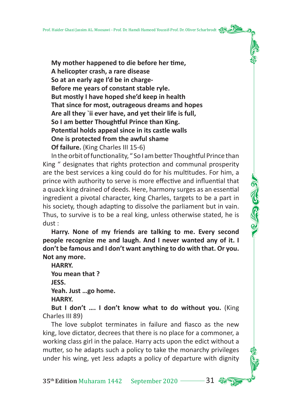**My mother happened to die before her time. A helicopter crash, a rare disease So at an early age I'd be in charge-Before me years of constant stable ryle. But mostly I have hoped she'd keep in health That since for most, outrageous dreams and hopes Are all they `ii ever have, and yet their life is full, So I am better Thoughtful Prince than King. Poten�al holds appeal since in its castle walls One is protected from the awful shame Of failure.** (King Charles III 15-6)

In the orbit of functionality, "So I am better Thoughtful Prince than King " designates that rights protection and communal prosperity are the best services a king could do for his multitudes. For him, a prince with authority to serve is more effective and influential that a quack king drained of deeds. Here, harmony surges as an essential ingredient a pivotal character, king Charles, targets to be a part in his society, though adapting to dissolve the parliament but in vain. Thus, to survive is to be a real king, unless otherwise stated, he is dust :

**Harry. None of my friends are talking to me. Every second people recognize me and laugh. And I never wanted any of it. I don't be famous and I don't want anything to do with that. Or you. Not any more.** 

**HARRY. You mean that ? JESS. Yeah. Just …go home. HARRY.** 

**But I don't .... I don't know what to do without you.** (King Charles III 89)

The love subplot terminates in failure and fiasco as the new king, love dictator, decrees that there is no place for a commoner, a working class girl in the palace. Harry acts upon the edict without a mutter, so he adapts such a policy to take the monarchy privileges under his wing, yet Jess adapts a policy of departure with dignity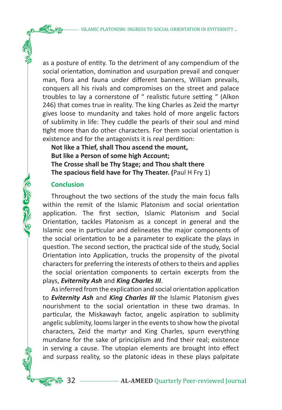as a posture of entity. To the detriment of any compendium of the social orientation, domination and usurpation prevail and conquer man, flora and fauna under different banners, William prevails, conquers all his rivals and compromises on the street and palace troubles to lay a cornerstone of " realistic future setting " (Alkon 246) that comes true in reality. The king Charles as Zeid the martyr gives loose to mundanity and takes hold of more angelic factors of sublimity in life: They cuddle the pearls of their soul and mind tight more than do other characters. For them social orientation is existence and for the antagonists it is real perdition:

**Not like a Thief, shall Thou ascend the mount, But like a Person of some high Account; The Crosse shall be Thy Stage; and Thou shalt there The spacious field have for Thy Theater. (**Paul H Fry 1)

#### **Conclusion**

AG CO COM

Throughout the two sections of the study the main focus falls within the remit of the Islamic Platonism and social orientation application. The first section, Islamic Platonism and Social Orientation, tackles Platonism as a concept in general and the Islamic one in particular and delineates the major components of the social orientation to be a parameter to explicate the plays in question. The second section, the practical side of the study, Social Orientation into Application, trucks the propensity of the pivotal characters for preferring the interests of others to theirs and applies the social orientation components to certain excerpts from the plays, *Eviternity Ash* and *King Charles III*.

As inferred from the explication and social orientation application to *Eviternity Ash* and *King Charles III* the Islamic Platonism gives nourishment to the social orientation in these two dramas. In particular, the Miskawayh factor, angelic aspiration to sublimity angelic sublimity, looms larger in the events to show how the pivotal characters, Zeid the martyr and King Charles, spurn everything mundane for the sake of principlism and find their real; existence in serving a cause. The utopian elements are brought into effect and surpass reality, so the platonic ideas in these plays palpitate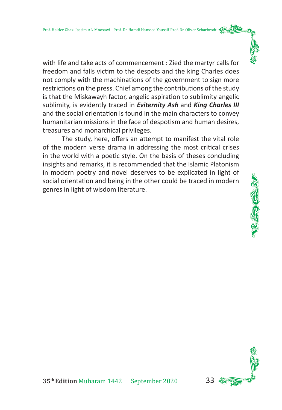with life and take acts of commencement : Zied the martyr calls for freedom and falls victim to the despots and the king Charles does not comply with the machinations of the government to sign more restrictions on the press. Chief among the contributions of the study is that the Miskawayh factor, angelic aspiration to sublimity angelic sublimity, is evidently traced in *Eviternity Ash* and *King Charles III* and the social orientation is found in the main characters to convey humanitarian missions in the face of despotism and human desires, treasures and monarchical privileges.

The study, here, offers an attempt to manifest the vital role of the modern verse drama in addressing the most critical crises in the world with a poetic style. On the basis of theses concluding insights and remarks, it is recommended that the Islamic Platonism in modern poetry and novel deserves to be explicated in light of social orientation and being in the other could be traced in modern genres in light of wisdom literature.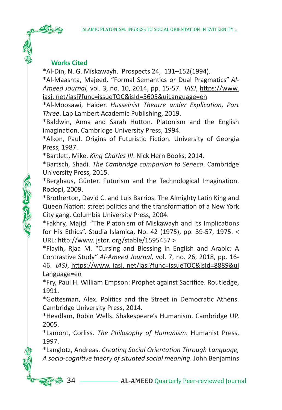# **Works Cited**

<u>தை</u>

\*Al-Dīn, N. G. Miskawayh. Prospects 24, 131–152(1994).

\*Al-Maashta, Majeed. "Formal Semantics or Dual Pragmatics" *Al-*Ameed Journal, vol. 3, no. 10, 2014, pp. 15-57. *IASJ*, https://www. iasj. net/iasj?func=issueTOC&isId=5605&uiLanguage=en

\*Al-Moosawi, Haider. *Husseinist Theatre under Explication, Part Three*. Lap Lambert Academic Publishing, 2019.

\*Baldwin, Anna and Sarah Hu�on. Platonism and the English imagination. Cambridge University Press, 1994.

\*Alkon, Paul. Origins of Futuristic Fiction. University of Georgia Press, 1987.

\*Bartle�, Mike. *King Charles III*. Nick Hern Books, 2014.

\*Bartsch, Shadi. *The Cambridge companion to Seneca*. Cambridge University Press, 2015.

\*Berghaus, Günter. Futurism and the Technological Imagination. Rodopi, 2009.

\*Brotherton, David C. and Luis Barrios. The Almighty Latin King and Queen Nation: street politics and the transformation of a New York City gang. Columbia University Press, 2004.

\*Fakhry, Majid. "The Platonism of Miskawayh and Its Implications for His Ethics". Studia Islamica, No. 42 (1975), pp. 39-57, 1975. < URL: http://www. jstor. org/stable/1595457 >

\*Flayih, Rjaa M. "Cursing and Blessing in English and Arabic: A Contrastive Study" *Al-Ameed Journal,* vol. 7, no. 26, 2018, pp. 16- 46. *IASJ*, h�ps://www. iasj. net/iasj?func=issueTOC&isId=8889&ui Language=en

\*Fry, Paul H. William Empson: Prophet against Sacrifice. Routledge, 1991.

\*Go�esman, Alex. Politics and the Street in Democratic Athens. Cambridge University Press, 2014.

\*Headlam, Robin Wells. Shakespeare's Humanism. Cambridge UP, 2005.

\*Lamont, Corliss. *The Philosophy of Humanism*. Humanist Press, 1997.

\*Langlotz, Andreas. *Creating Social Orientation Through Language, A socio-cognitive theory of situated social meaning*. John Benjamins